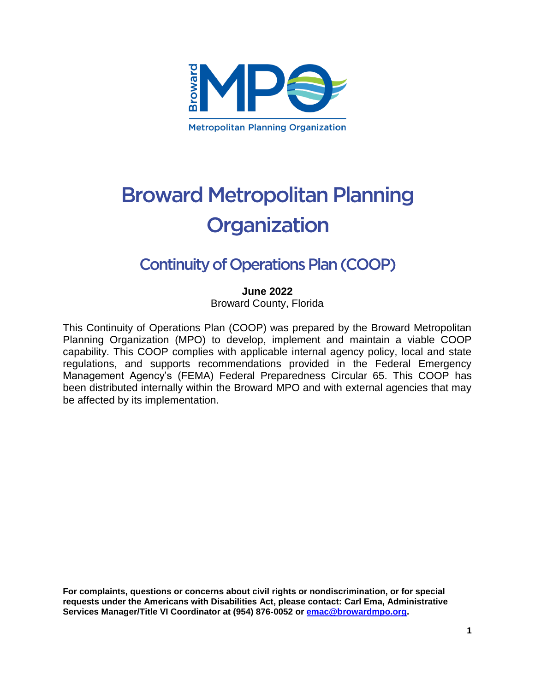

# **Broward Metropolitan Planning** Organization

## **Continuity of Operations Plan (COOP)**

**June 2022**

Broward County, Florida

This Continuity of Operations Plan (COOP) was prepared by the Broward Metropolitan Planning Organization (MPO) to develop, implement and maintain a viable COOP capability. This COOP complies with applicable internal agency policy, local and state regulations, and supports recommendations provided in the Federal Emergency Management Agency's (FEMA) Federal Preparedness Circular 65. This COOP has been distributed internally within the Broward MPO and with external agencies that may be affected by its implementation.

**For complaints, questions or concerns about civil rights or nondiscrimination, or for special requests under the Americans with Disabilities Act, please contact: Carl Ema, Administrative Services Manager/Title VI Coordinator at (954) 876-0052 or [emac@browardmpo.org.](mailto:emac@browardmpo.org)**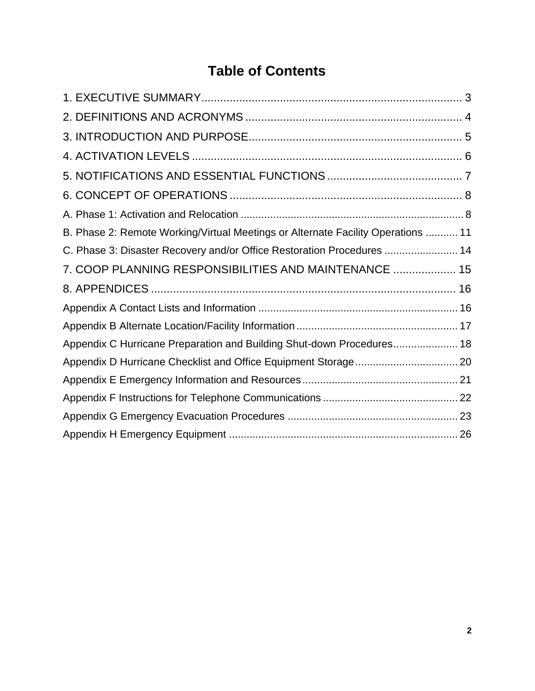## **Table of Contents**

| B. Phase 2: Remote Working/Virtual Meetings or Alternate Facility Operations  11 |  |
|----------------------------------------------------------------------------------|--|
| C. Phase 3: Disaster Recovery and/or Office Restoration Procedures  14           |  |
| 7. COOP PLANNING RESPONSIBILITIES AND MAINTENANCE  15                            |  |
|                                                                                  |  |
|                                                                                  |  |
|                                                                                  |  |
| Appendix C Hurricane Preparation and Building Shut-down Procedures 18            |  |
|                                                                                  |  |
|                                                                                  |  |
|                                                                                  |  |
|                                                                                  |  |
|                                                                                  |  |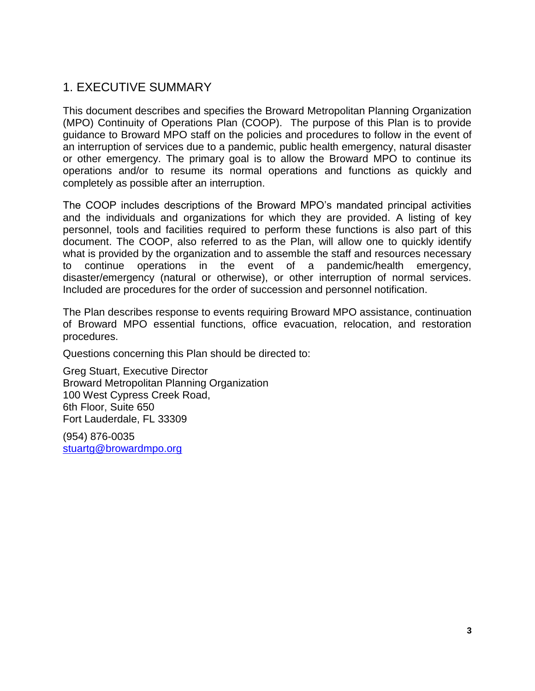## <span id="page-2-0"></span>1. EXECUTIVE SUMMARY

This document describes and specifies the Broward Metropolitan Planning Organization (MPO) Continuity of Operations Plan (COOP). The purpose of this Plan is to provide guidance to Broward MPO staff on the policies and procedures to follow in the event of an interruption of services due to a pandemic, public health emergency, natural disaster or other emergency. The primary goal is to allow the Broward MPO to continue its operations and/or to resume its normal operations and functions as quickly and completely as possible after an interruption.

The COOP includes descriptions of the Broward MPO's mandated principal activities and the individuals and organizations for which they are provided. A listing of key personnel, tools and facilities required to perform these functions is also part of this document. The COOP, also referred to as the Plan, will allow one to quickly identify what is provided by the organization and to assemble the staff and resources necessary to continue operations in the event of a pandemic/health emergency, disaster/emergency (natural or otherwise), or other interruption of normal services. Included are procedures for the order of succession and personnel notification.

The Plan describes response to events requiring Broward MPO assistance, continuation of Broward MPO essential functions, office evacuation, relocation, and restoration procedures.

Questions concerning this Plan should be directed to:

Greg Stuart, Executive Director Broward Metropolitan Planning Organization 100 West Cypress Creek Road, 6th Floor, Suite 650 Fort Lauderdale, FL 33309

(954) 876-0035 stuart[g@browardmpo.org](mailto:@browardmpo.org)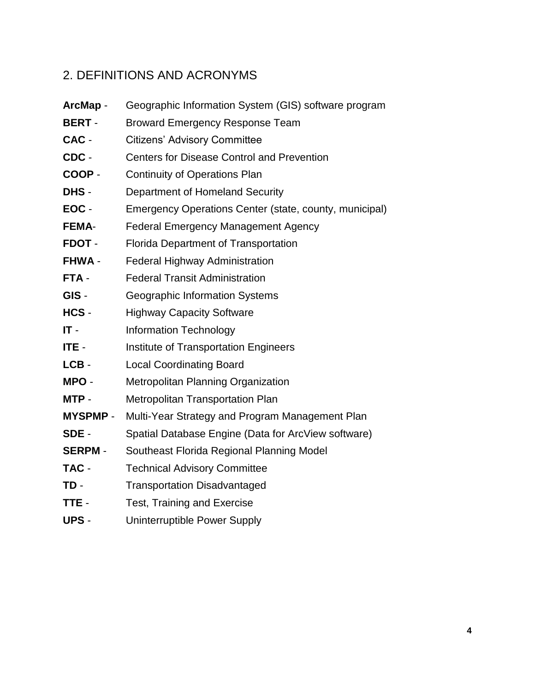## <span id="page-3-0"></span>2. DEFINITIONS AND ACRONYMS

- **ArcMap** Geographic Information System (GIS) software program
- **BERT** Broward Emergency Response Team
- **CAC** Citizens' Advisory Committee
- **CDC** Centers for Disease Control and Prevention
- **COOP** Continuity of Operations Plan
- **DHS** Department of Homeland Security
- **EOC** Emergency Operations Center (state, county, municipal)
- **FEMA** Federal Emergency Management Agency
- **FDOT** Florida Department of Transportation
- **FHWA** Federal Highway Administration
- **FTA** Federal Transit Administration
- **GIS** Geographic Information Systems
- **HCS** Highway Capacity Software
- **IT** Information Technology
- **ITE** Institute of Transportation Engineers
- LCB Local Coordinating Board
- **MPO** Metropolitan Planning Organization
- **MTP** Metropolitan Transportation Plan
- **MYSPMP**  Multi-Year Strategy and Program Management Plan
- **SDE** Spatial Database Engine (Data for ArcView software)
- **SERPM** Southeast Florida Regional Planning Model
- **TAC** Technical Advisory Committee
- **TD** Transportation Disadvantaged
- **TTE** Test, Training and Exercise
- **UPS**  Uninterruptible Power Supply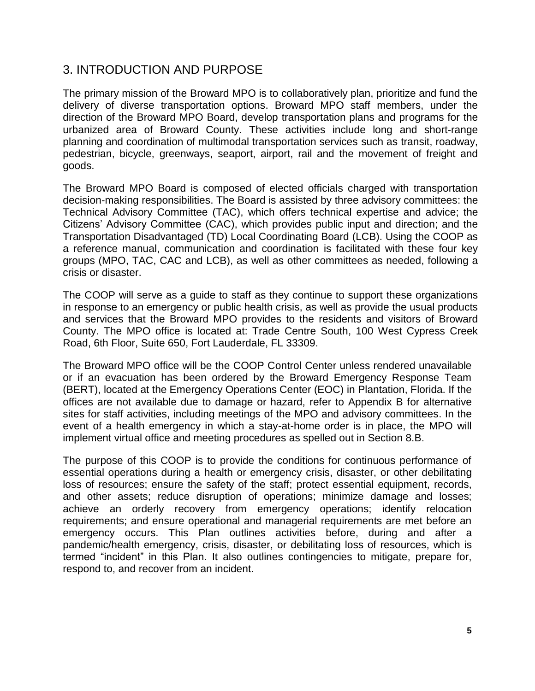## <span id="page-4-0"></span>3. INTRODUCTION AND PURPOSE

The primary mission of the Broward MPO is to collaboratively plan, prioritize and fund the delivery of diverse transportation options. Broward MPO staff members, under the direction of the Broward MPO Board, develop transportation plans and programs for the urbanized area of Broward County. These activities include long and short-range planning and coordination of multimodal transportation services such as transit, roadway, pedestrian, bicycle, greenways, seaport, airport, rail and the movement of freight and goods.

The Broward MPO Board is composed of elected officials charged with transportation decision-making responsibilities. The Board is assisted by three advisory committees: the Technical Advisory Committee (TAC), which offers technical expertise and advice; the Citizens' Advisory Committee (CAC), which provides public input and direction; and the Transportation Disadvantaged (TD) Local Coordinating Board (LCB). Using the COOP as a reference manual, communication and coordination is facilitated with these four key groups (MPO, TAC, CAC and LCB), as well as other committees as needed, following a crisis or disaster.

The COOP will serve as a guide to staff as they continue to support these organizations in response to an emergency or public health crisis, as well as provide the usual products and services that the Broward MPO provides to the residents and visitors of Broward County. The MPO office is located at: Trade Centre South, 100 West Cypress Creek Road, 6th Floor, Suite 650, Fort Lauderdale, FL 33309.

The Broward MPO office will be the COOP Control Center unless rendered unavailable or if an evacuation has been ordered by the Broward Emergency Response Team (BERT), located at the Emergency Operations Center (EOC) in Plantation, Florida. If the offices are not available due to damage or hazard, refer to Appendix B for alternative sites for staff activities, including meetings of the MPO and advisory committees. In the event of a health emergency in which a stay-at-home order is in place, the MPO will implement virtual office and meeting procedures as spelled out in Section 8.B.

The purpose of this COOP is to provide the conditions for continuous performance of essential operations during a health or emergency crisis, disaster, or other debilitating loss of resources; ensure the safety of the staff; protect essential equipment, records, and other assets; reduce disruption of operations; minimize damage and losses; achieve an orderly recovery from emergency operations; identify relocation requirements; and ensure operational and managerial requirements are met before an emergency occurs. This Plan outlines activities before, during and after a pandemic/health emergency, crisis, disaster, or debilitating loss of resources, which is termed "incident" in this Plan. It also outlines contingencies to mitigate, prepare for, respond to, and recover from an incident.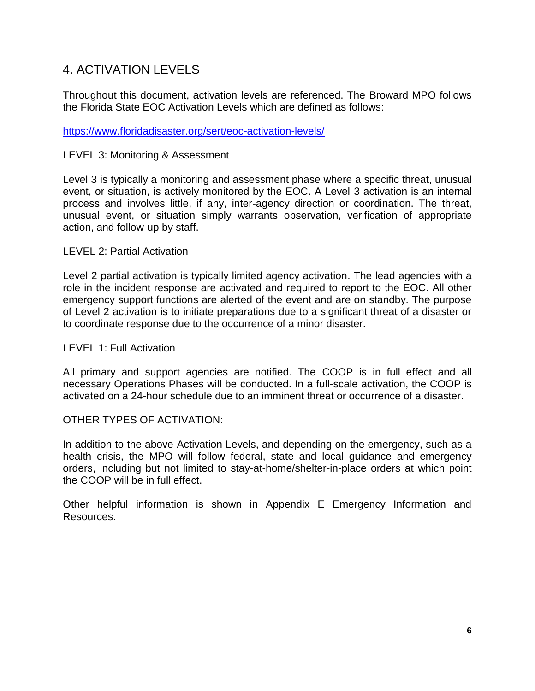## <span id="page-5-0"></span>4. ACTIVATION LEVELS

Throughout this document, activation levels are referenced. The Broward MPO follows the Florida State EOC Activation Levels which are defined as follows:

<https://www.floridadisaster.org/sert/eoc-activation-levels/>

#### LEVEL 3: Monitoring & Assessment

Level 3 is typically a monitoring and assessment phase where a specific threat, unusual event, or situation, is actively monitored by the EOC. A Level 3 activation is an internal process and involves little, if any, inter-agency direction or coordination. The threat, unusual event, or situation simply warrants observation, verification of appropriate action, and follow-up by staff.

#### LEVEL 2: Partial Activation

Level 2 partial activation is typically limited agency activation. The lead agencies with a role in the incident response are activated and required to report to the EOC. All other emergency support functions are alerted of the event and are on standby. The purpose of Level 2 activation is to initiate preparations due to a significant threat of a disaster or to coordinate response due to the occurrence of a minor disaster.

#### LEVEL 1: Full Activation

All primary and support agencies are notified. The COOP is in full effect and all necessary Operations Phases will be conducted. In a full-scale activation, the COOP is activated on a 24-hour schedule due to an imminent threat or occurrence of a disaster.

#### OTHER TYPES OF ACTIVATION:

In addition to the above Activation Levels, and depending on the emergency, such as a health crisis, the MPO will follow federal, state and local guidance and emergency orders, including but not limited to stay-at-home/shelter-in-place orders at which point the COOP will be in full effect.

Other helpful information is shown in Appendix E Emergency Information and Resources.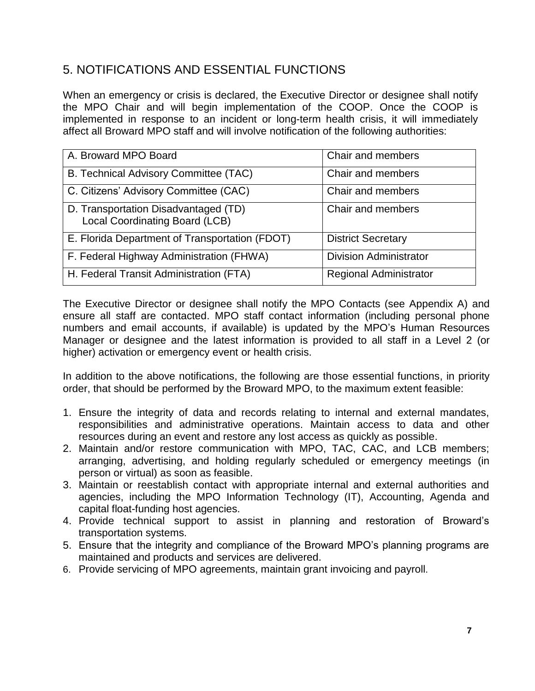## <span id="page-6-0"></span>5. NOTIFICATIONS AND ESSENTIAL FUNCTIONS

When an emergency or crisis is declared, the Executive Director or designee shall notify the MPO Chair and will begin implementation of the COOP. Once the COOP is implemented in response to an incident or long-term health crisis, it will immediately affect all Broward MPO staff and will involve notification of the following authorities:

| A. Broward MPO Board                                                   | Chair and members             |
|------------------------------------------------------------------------|-------------------------------|
| B. Technical Advisory Committee (TAC)                                  | Chair and members             |
| C. Citizens' Advisory Committee (CAC)                                  | Chair and members             |
| D. Transportation Disadvantaged (TD)<br>Local Coordinating Board (LCB) | Chair and members             |
| E. Florida Department of Transportation (FDOT)                         | <b>District Secretary</b>     |
| F. Federal Highway Administration (FHWA)                               | <b>Division Administrator</b> |
| H. Federal Transit Administration (FTA)                                | <b>Regional Administrator</b> |

The Executive Director or designee shall notify the MPO Contacts (see Appendix A) and ensure all staff are contacted. MPO staff contact information (including personal phone numbers and email accounts, if available) is updated by the MPO's Human Resources Manager or designee and the latest information is provided to all staff in a Level 2 (or higher) activation or emergency event or health crisis.

In addition to the above notifications, the following are those essential functions, in priority order, that should be performed by the Broward MPO, to the maximum extent feasible:

- 1. Ensure the integrity of data and records relating to internal and external mandates, responsibilities and administrative operations. Maintain access to data and other resources during an event and restore any lost access as quickly as possible.
- 2. Maintain and/or restore communication with MPO, TAC, CAC, and LCB members; arranging, advertising, and holding regularly scheduled or emergency meetings (in person or virtual) as soon as feasible.
- 3. Maintain or reestablish contact with appropriate internal and external authorities and agencies, including the MPO Information Technology (IT), Accounting, Agenda and capital float-funding host agencies.
- 4. Provide technical support to assist in planning and restoration of Broward's transportation systems.
- 5. Ensure that the integrity and compliance of the Broward MPO's planning programs are maintained and products and services are delivered.
- 6. Provide servicing of MPO agreements, maintain grant invoicing and payroll.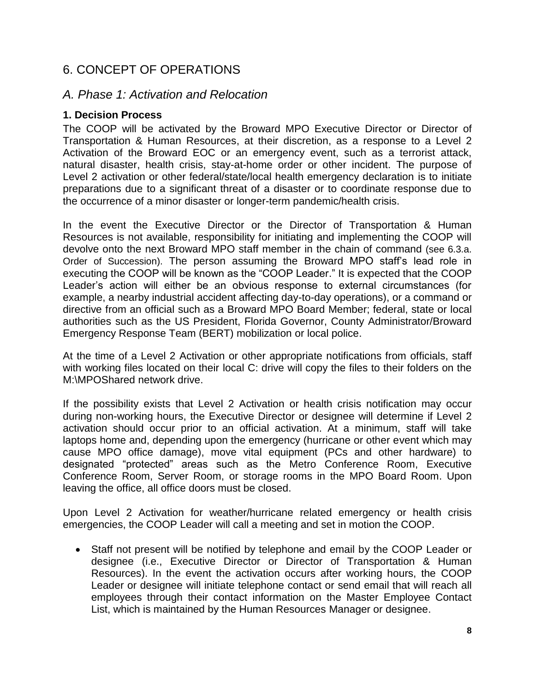## <span id="page-7-0"></span>6. CONCEPT OF OPERATIONS

### <span id="page-7-1"></span>*A. Phase 1: Activation and Relocation*

#### **1. Decision Process**

The COOP will be activated by the Broward MPO Executive Director or Director of Transportation & Human Resources, at their discretion, as a response to a Level 2 Activation of the Broward EOC or an emergency event, such as a terrorist attack, natural disaster, health crisis, stay-at-home order or other incident. The purpose of Level 2 activation or other federal/state/local health emergency declaration is to initiate preparations due to a significant threat of a disaster or to coordinate response due to the occurrence of a minor disaster or longer-term pandemic/health crisis.

In the event the Executive Director or the Director of Transportation & Human Resources is not available, responsibility for initiating and implementing the COOP will devolve onto the next Broward MPO staff member in the chain of command (see 6.3.a. Order of Succession). The person assuming the Broward MPO staff's lead role in executing the COOP will be known as the "COOP Leader." It is expected that the COOP Leader's action will either be an obvious response to external circumstances (for example, a nearby industrial accident affecting day-to-day operations), or a command or directive from an official such as a Broward MPO Board Member; federal, state or local authorities such as the US President, Florida Governor, County Administrator/Broward Emergency Response Team (BERT) mobilization or local police.

At the time of a Level 2 Activation or other appropriate notifications from officials, staff with working files located on their local C: drive will copy the files to their folders on the M:\MPOShared network drive.

If the possibility exists that Level 2 Activation or health crisis notification may occur during non-working hours, the Executive Director or designee will determine if Level 2 activation should occur prior to an official activation. At a minimum, staff will take laptops home and, depending upon the emergency (hurricane or other event which may cause MPO office damage), move vital equipment (PCs and other hardware) to designated "protected" areas such as the Metro Conference Room, Executive Conference Room, Server Room, or storage rooms in the MPO Board Room. Upon leaving the office, all office doors must be closed.

Upon Level 2 Activation for weather/hurricane related emergency or health crisis emergencies, the COOP Leader will call a meeting and set in motion the COOP.

 Staff not present will be notified by telephone and email by the COOP Leader or designee (i.e., Executive Director or Director of Transportation & Human Resources). In the event the activation occurs after working hours, the COOP Leader or designee will initiate telephone contact or send email that will reach all employees through their contact information on the Master Employee Contact List, which is maintained by the Human Resources Manager or designee.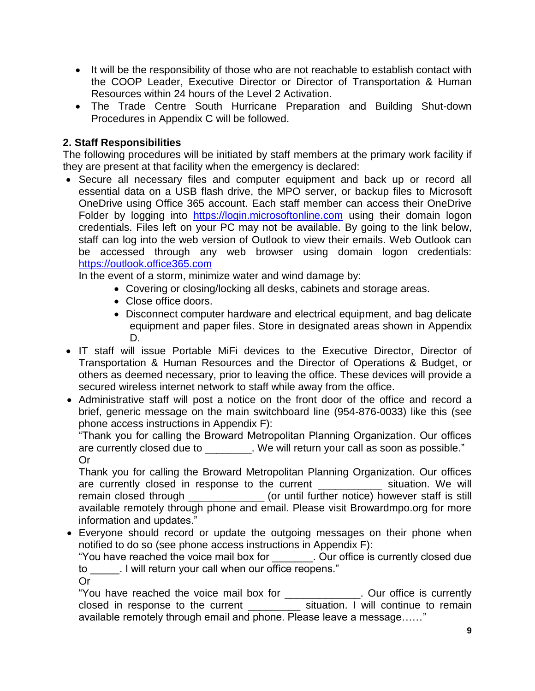- It will be the responsibility of those who are not reachable to establish contact with the COOP Leader, Executive Director or Director of Transportation & Human Resources within 24 hours of the Level 2 Activation.
- The Trade Centre South Hurricane Preparation and Building Shut-down Procedures in Appendix C will be followed.

### **2. Staff Responsibilities**

The following procedures will be initiated by staff members at the primary work facility if they are present at that facility when the emergency is declared:

 Secure all necessary files and computer equipment and back up or record all essential data on a USB flash drive, the MPO server, or backup files to Microsoft OneDrive using Office 365 account. Each staff member can access their OneDrive Folder by logging into [https://login.microsoftonline.com](https://login.microsoftonline.com/) using their domain logon credentials. Files left on your PC may not be available. By going to the link below, staff can log into the web version of Outlook to view their emails. Web Outlook can be accessed through any web browser using domain logon credentials: [https://outlook.office365.com](https://outlook.office365.com/)

In the event of a storm, minimize water and wind damage by:

- Covering or closing/locking all desks, cabinets and storage areas.
- Close office doors.
- Disconnect computer hardware and electrical equipment, and bag delicate equipment and paper files. Store in designated areas shown in Appendix D.
- IT staff will issue Portable MiFi devices to the Executive Director, Director of Transportation & Human Resources and the Director of Operations & Budget, or others as deemed necessary, prior to leaving the office. These devices will provide a secured wireless internet network to staff while away from the office.
- Administrative staff will post a notice on the front door of the office and record a brief, generic message on the main switchboard line (954-876-0033) like this (see phone access instructions in Appendix F):

"Thank you for calling the Broward Metropolitan Planning Organization. Our offices are currently closed due to \_\_\_\_\_\_\_\_. We will return your call as soon as possible." Or

Thank you for calling the Broward Metropolitan Planning Organization. Our offices are currently closed in response to the current \_\_\_\_\_\_\_\_\_\_\_\_ situation. We will remain closed through \_\_\_\_\_\_\_\_\_\_\_\_\_ (or until further notice) however staff is still available remotely through phone and email. Please visit Browardmpo.org for more information and updates."

 Everyone should record or update the outgoing messages on their phone when notified to do so (see phone access instructions in Appendix F):

"You have reached the voice mail box for \_\_\_\_\_\_\_. Our office is currently closed due to \_\_\_\_\_. I will return your call when our office reopens."

Or

"You have reached the voice mail box for \_\_\_\_\_\_\_\_\_\_\_\_\_. Our office is currently closed in response to the current example it is situation. I will continue to remain available remotely through email and phone. Please leave a message……"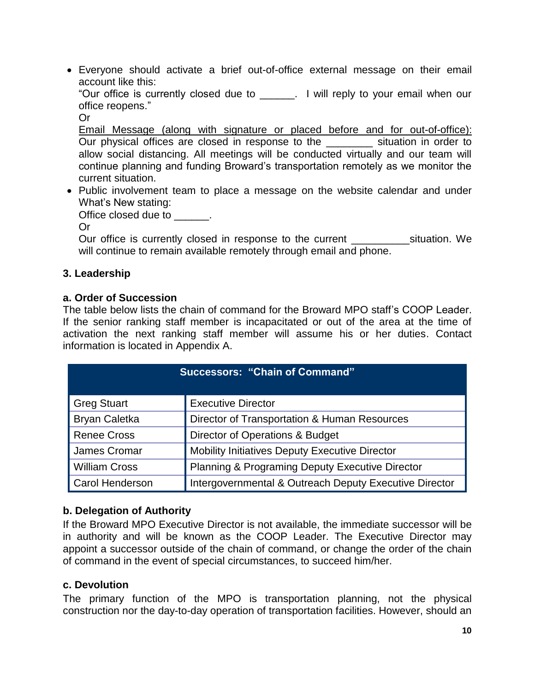Everyone should activate a brief out-of-office external message on their email account like this:

"Our office is currently closed due to \_\_\_\_\_\_. I will reply to your email when our office reopens."

Or

Email Message (along with signature or placed before and for out-of-office): Our physical offices are closed in response to the example situation in order to allow social distancing. All meetings will be conducted virtually and our team will continue planning and funding Broward's transportation remotely as we monitor the current situation.

• Public involvement team to place a message on the website calendar and under What's New stating:

Office closed due to  $\qquad \qquad$ .

Or

Our office is currently closed in response to the current \_\_\_\_\_\_\_\_\_\_\_\_\_\_situation. We will continue to remain available remotely through email and phone.

#### **3. Leadership**

#### **a. Order of Succession**

The table below lists the chain of command for the Broward MPO staff's COOP Leader. If the senior ranking staff member is incapacitated or out of the area at the time of activation the next ranking staff member will assume his or her duties. Contact information is located in Appendix A.

| <b>Successors: "Chain of Command"</b> |                                                            |  |
|---------------------------------------|------------------------------------------------------------|--|
| <b>Greg Stuart</b>                    | <b>Executive Director</b>                                  |  |
| <b>Bryan Caletka</b>                  | Director of Transportation & Human Resources               |  |
| <b>Renee Cross</b>                    | Director of Operations & Budget                            |  |
| James Cromar                          | Mobility Initiatives Deputy Executive Director             |  |
| <b>William Cross</b>                  | <b>Planning &amp; Programing Deputy Executive Director</b> |  |
| <b>Carol Henderson</b>                | Intergovernmental & Outreach Deputy Executive Director     |  |

#### **b. Delegation of Authority**

If the Broward MPO Executive Director is not available, the immediate successor will be in authority and will be known as the COOP Leader. The Executive Director may appoint a successor outside of the chain of command, or change the order of the chain of command in the event of special circumstances, to succeed him/her.

#### **c. Devolution**

The primary function of the MPO is transportation planning, not the physical construction nor the day-to-day operation of transportation facilities. However, should an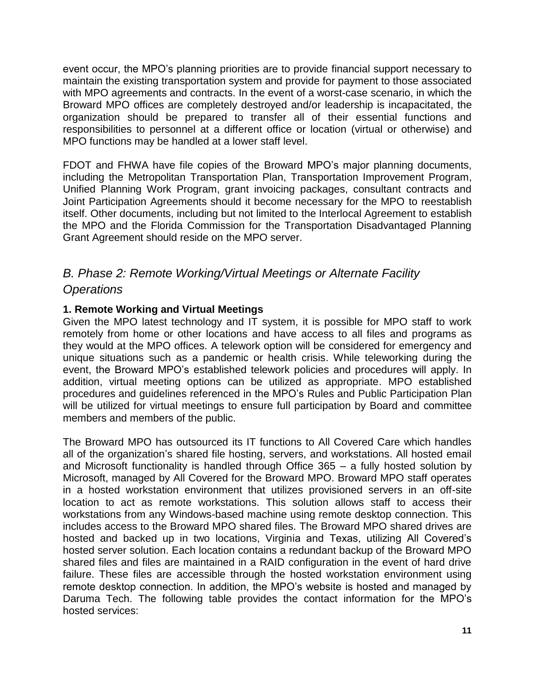event occur, the MPO's planning priorities are to provide financial support necessary to maintain the existing transportation system and provide for payment to those associated with MPO agreements and contracts. In the event of a worst-case scenario, in which the Broward MPO offices are completely destroyed and/or leadership is incapacitated, the organization should be prepared to transfer all of their essential functions and responsibilities to personnel at a different office or location (virtual or otherwise) and MPO functions may be handled at a lower staff level.

FDOT and FHWA have file copies of the Broward MPO's major planning documents, including the Metropolitan Transportation Plan, Transportation Improvement Program, Unified Planning Work Program, grant invoicing packages, consultant contracts and Joint Participation Agreements should it become necessary for the MPO to reestablish itself. Other documents, including but not limited to the Interlocal Agreement to establish the MPO and the Florida Commission for the Transportation Disadvantaged Planning Grant Agreement should reside on the MPO server.

## <span id="page-10-0"></span>*B. Phase 2: Remote Working/Virtual Meetings or Alternate Facility Operations*

#### **1. Remote Working and Virtual Meetings**

Given the MPO latest technology and IT system, it is possible for MPO staff to work remotely from home or other locations and have access to all files and programs as they would at the MPO offices. A telework option will be considered for emergency and unique situations such as a pandemic or health crisis. While teleworking during the event, the Broward MPO's established telework policies and procedures will apply. In addition, virtual meeting options can be utilized as appropriate. MPO established procedures and guidelines referenced in the MPO's Rules and Public Participation Plan will be utilized for virtual meetings to ensure full participation by Board and committee members and members of the public.

The Broward MPO has outsourced its IT functions to All Covered Care which handles all of the organization's shared file hosting, servers, and workstations. All hosted email and Microsoft functionality is handled through Office 365 – a fully hosted solution by Microsoft, managed by All Covered for the Broward MPO. Broward MPO staff operates in a hosted workstation environment that utilizes provisioned servers in an off-site location to act as remote workstations. This solution allows staff to access their workstations from any Windows-based machine using remote desktop connection. This includes access to the Broward MPO shared files. The Broward MPO shared drives are hosted and backed up in two locations, Virginia and Texas, utilizing All Covered's hosted server solution. Each location contains a redundant backup of the Broward MPO shared files and files are maintained in a RAID configuration in the event of hard drive failure. These files are accessible through the hosted workstation environment using remote desktop connection. In addition, the MPO's website is hosted and managed by Daruma Tech. The following table provides the contact information for the MPO's hosted services: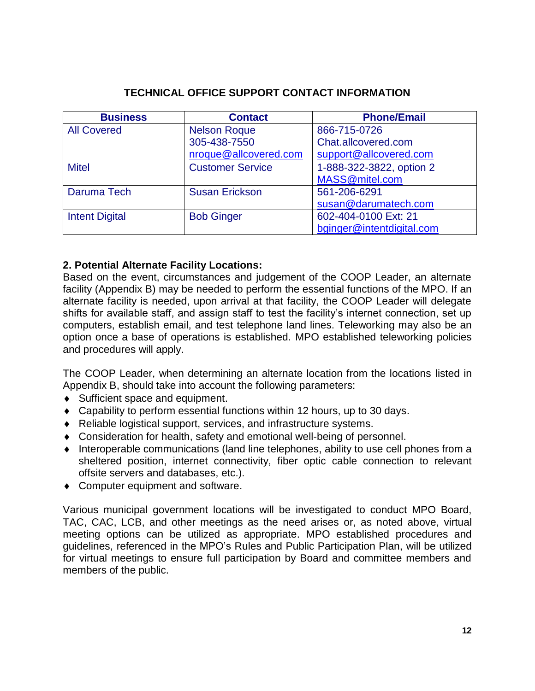| <b>Business</b>       | <b>Contact</b>          | <b>Phone/Email</b>        |
|-----------------------|-------------------------|---------------------------|
| <b>All Covered</b>    | <b>Nelson Roque</b>     | 866-715-0726              |
|                       | 305-438-7550            | Chat.allcovered.com       |
|                       | nroque@allcovered.com   | support@allcovered.com    |
| <b>Mitel</b>          | <b>Customer Service</b> | 1-888-322-3822, option 2  |
|                       |                         | MASS@mitel.com            |
| Daruma Tech           | <b>Susan Erickson</b>   | 561-206-6291              |
|                       |                         | susan@darumatech.com      |
| <b>Intent Digital</b> | <b>Bob Ginger</b>       | 602-404-0100 Ext: 21      |
|                       |                         | bginger@intentdigital.com |

#### **2. Potential Alternate Facility Locations:**

Based on the event, circumstances and judgement of the COOP Leader, an alternate facility (Appendix B) may be needed to perform the essential functions of the MPO. If an alternate facility is needed, upon arrival at that facility, the COOP Leader will delegate shifts for available staff, and assign staff to test the facility's internet connection, set up computers, establish email, and test telephone land lines. Teleworking may also be an option once a base of operations is established. MPO established teleworking policies and procedures will apply.

The COOP Leader, when determining an alternate location from the locations listed in Appendix B, should take into account the following parameters:

- ◆ Sufficient space and equipment.
- Capability to perform essential functions within 12 hours, up to 30 days.
- Reliable logistical support, services, and infrastructure systems.
- Consideration for health, safety and emotional well-being of personnel.
- $\bullet$  Interoperable communications (land line telephones, ability to use cell phones from a sheltered position, internet connectivity, fiber optic cable connection to relevant offsite servers and databases, etc.).
- Computer equipment and software.

Various municipal government locations will be investigated to conduct MPO Board, TAC, CAC, LCB, and other meetings as the need arises or, as noted above, virtual meeting options can be utilized as appropriate. MPO established procedures and guidelines, referenced in the MPO's Rules and Public Participation Plan, will be utilized for virtual meetings to ensure full participation by Board and committee members and members of the public.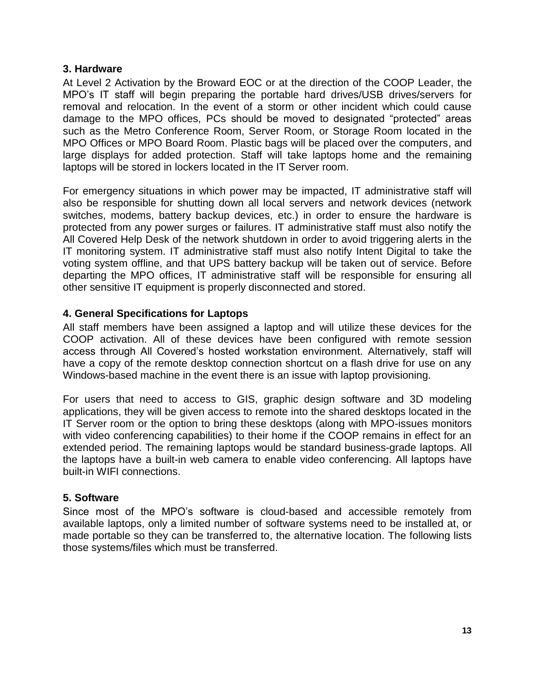#### **3. Hardware**

At Level 2 Activation by the Broward EOC or at the direction of the COOP Leader, the MPO's IT staff will begin preparing the portable hard drives/USB drives/servers for removal and relocation. In the event of a storm or other incident which could cause damage to the MPO offices, PCs should be moved to designated "protected" areas such as the Metro Conference Room, Server Room, or Storage Room located in the MPO Offices or MPO Board Room. Plastic bags will be placed over the computers, and large displays for added protection. Staff will take laptops home and the remaining laptops will be stored in lockers located in the IT Server room.

For emergency situations in which power may be impacted, IT administrative staff will also be responsible for shutting down all local servers and network devices (network switches, modems, battery backup devices, etc.) in order to ensure the hardware is protected from any power surges or failures. IT administrative staff must also notify the All Covered Help Desk of the network shutdown in order to avoid triggering alerts in the IT monitoring system. IT administrative staff must also notify Intent Digital to take the voting system offline, and that UPS battery backup will be taken out of service. Before departing the MPO offices, IT administrative staff will be responsible for ensuring all other sensitive IT equipment is properly disconnected and stored.

#### **4. General Specifications for Laptops**

All staff members have been assigned a laptop and will utilize these devices for the COOP activation. All of these devices have been configured with remote session access through All Covered's hosted workstation environment. Alternatively, staff will have a copy of the remote desktop connection shortcut on a flash drive for use on any Windows-based machine in the event there is an issue with laptop provisioning.

For users that need to access to GIS, graphic design software and 3D modeling applications, they will be given access to remote into the shared desktops located in the IT Server room or the option to bring these desktops (along with MPO-issues monitors with video conferencing capabilities) to their home if the COOP remains in effect for an extended period. The remaining laptops would be standard business-grade laptops. All the laptops have a built-in web camera to enable video conferencing. All laptops have built-in WIFI connections.

#### **5. Software**

Since most of the MPO's software is cloud-based and accessible remotely from available laptops, only a limited number of software systems need to be installed at, or made portable so they can be transferred to, the alternative location. The following lists those systems/files which must be transferred.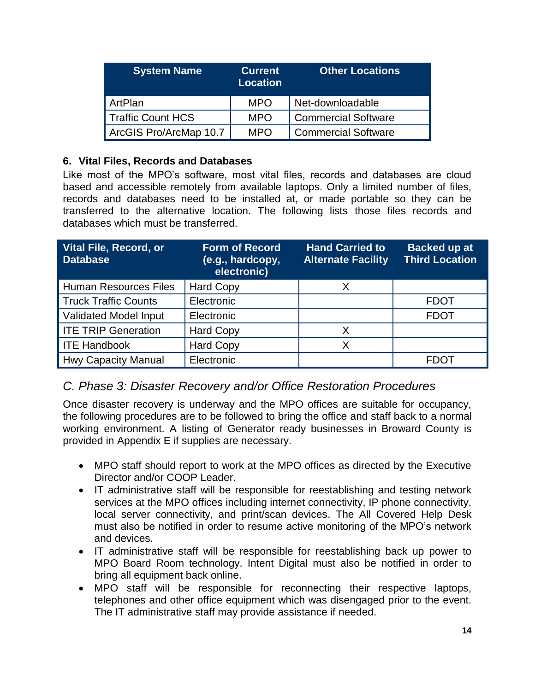| <b>System Name</b>       | <b>Current</b><br><b>Location</b> | <b>Other Locations</b>     |
|--------------------------|-----------------------------------|----------------------------|
| ArtPlan                  | <b>MPO</b>                        | Net-downloadable           |
| <b>Traffic Count HCS</b> | <b>MPO</b>                        | <b>Commercial Software</b> |
| ArcGIS Pro/ArcMap 10.7   | <b>MPO</b>                        | <b>Commercial Software</b> |

#### **6. Vital Files, Records and Databases**

Like most of the MPO's software, most vital files, records and databases are cloud based and accessible remotely from available laptops. Only a limited number of files, records and databases need to be installed at, or made portable so they can be transferred to the alternative location. The following lists those files records and databases which must be transferred.

| <b>Vital File, Record, or</b><br><b>Database</b> | <b>Form of Record</b><br>(e.g., hardcopy,<br>electronic) | <b>Hand Carried to</b><br><b>Alternate Facility</b> | <b>Backed up at</b><br><b>Third Location</b> |
|--------------------------------------------------|----------------------------------------------------------|-----------------------------------------------------|----------------------------------------------|
| <b>Human Resources Files</b>                     | <b>Hard Copy</b>                                         | X                                                   |                                              |
| <b>Truck Traffic Counts</b>                      | Electronic                                               |                                                     | <b>FDOT</b>                                  |
| Validated Model Input                            | Electronic                                               |                                                     | <b>FDOT</b>                                  |
| <b>ITE TRIP Generation</b>                       | <b>Hard Copy</b>                                         | X                                                   |                                              |
| <b>ITE Handbook</b>                              | <b>Hard Copy</b>                                         | X                                                   |                                              |
| <b>Hwy Capacity Manual</b>                       | Electronic                                               |                                                     | <b>FDOT</b>                                  |

## <span id="page-13-0"></span>*C. Phase 3: Disaster Recovery and/or Office Restoration Procedures*

Once disaster recovery is underway and the MPO offices are suitable for occupancy, the following procedures are to be followed to bring the office and staff back to a normal working environment. A listing of Generator ready businesses in Broward County is provided in Appendix E if supplies are necessary.

- MPO staff should report to work at the MPO offices as directed by the Executive Director and/or COOP Leader.
- IT administrative staff will be responsible for reestablishing and testing network services at the MPO offices including internet connectivity, IP phone connectivity, local server connectivity, and print/scan devices. The All Covered Help Desk must also be notified in order to resume active monitoring of the MPO's network and devices.
- IT administrative staff will be responsible for reestablishing back up power to MPO Board Room technology. Intent Digital must also be notified in order to bring all equipment back online.
- MPO staff will be responsible for reconnecting their respective laptops, telephones and other office equipment which was disengaged prior to the event. The IT administrative staff may provide assistance if needed.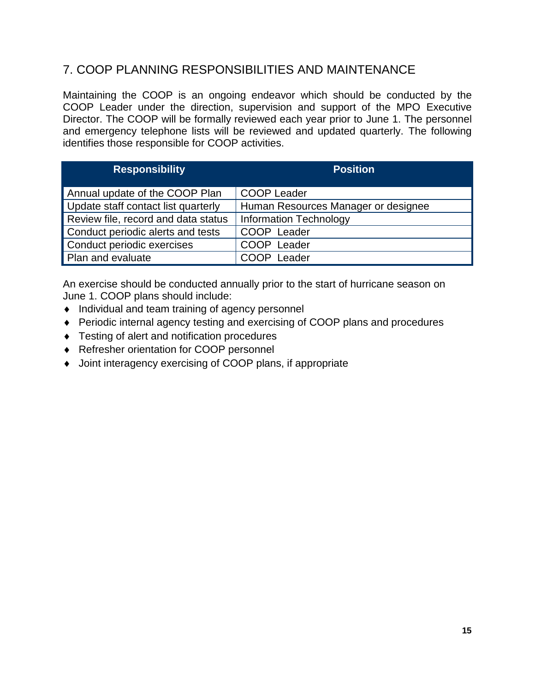## <span id="page-14-0"></span>7. COOP PLANNING RESPONSIBILITIES AND MAINTENANCE

Maintaining the COOP is an ongoing endeavor which should be conducted by the COOP Leader under the direction, supervision and support of the MPO Executive Director. The COOP will be formally reviewed each year prior to June 1. The personnel and emergency telephone lists will be reviewed and updated quarterly. The following identifies those responsible for COOP activities.

| <b>Responsibility</b>               | <b>Position</b>                     |
|-------------------------------------|-------------------------------------|
| Annual update of the COOP Plan      | <b>COOP Leader</b>                  |
| Update staff contact list quarterly | Human Resources Manager or designee |
| Review file, record and data status | <b>Information Technology</b>       |
| Conduct periodic alerts and tests   | COOP Leader                         |
| Conduct periodic exercises          | COOP Leader                         |
| Plan and evaluate                   | COOP Leader                         |

An exercise should be conducted annually prior to the start of hurricane season on June 1. COOP plans should include:

- $\bullet$  Individual and team training of agency personnel
- ◆ Periodic internal agency testing and exercising of COOP plans and procedures
- ◆ Testing of alert and notification procedures
- Refresher orientation for COOP personnel
- Joint interagency exercising of COOP plans, if appropriate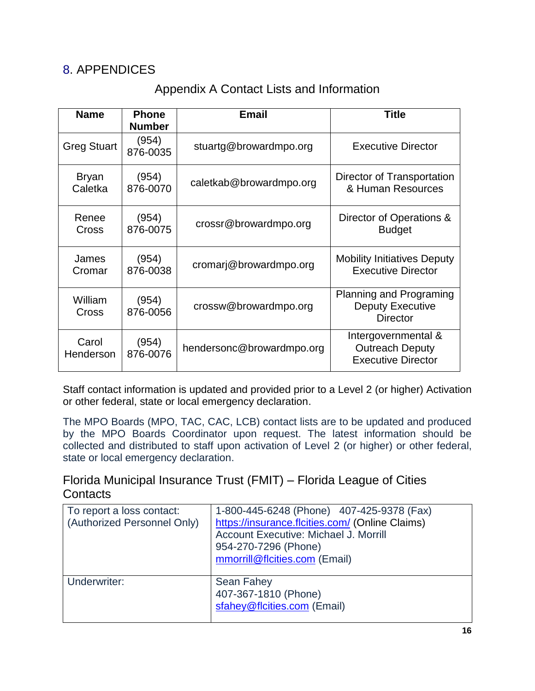## <span id="page-15-1"></span><span id="page-15-0"></span>8. APPENDICES

## Appendix A Contact Lists and Information

| <b>Name</b>             | <b>Phone</b><br><b>Number</b> | <b>Email</b>              | <b>Title</b>                                                                 |
|-------------------------|-------------------------------|---------------------------|------------------------------------------------------------------------------|
| <b>Greg Stuart</b>      | (954)<br>876-0035             | stuartg@browardmpo.org    | <b>Executive Director</b>                                                    |
| <b>Bryan</b><br>Caletka | (954)<br>876-0070             | caletkab@browardmpo.org   | Director of Transportation<br>& Human Resources                              |
| Renee<br>Cross          | (954)<br>876-0075             | crossr@browardmpo.org     | Director of Operations &<br><b>Budget</b>                                    |
| James<br>Cromar         | (954)<br>876-0038             | cromarj@browardmpo.org    | <b>Mobility Initiatives Deputy</b><br><b>Executive Director</b>              |
| William<br>Cross        | (954)<br>876-0056             | crossw@browardmpo.org     | <b>Planning and Programing</b><br><b>Deputy Executive</b><br><b>Director</b> |
| Carol<br>Henderson      | (954)<br>876-0076             | hendersonc@browardmpo.org | Intergovernmental &<br><b>Outreach Deputy</b><br><b>Executive Director</b>   |

Staff contact information is updated and provided prior to a Level 2 (or higher) Activation or other federal, state or local emergency declaration.

The MPO Boards (MPO, TAC, CAC, LCB) contact lists are to be updated and produced by the MPO Boards Coordinator upon request. The latest information should be collected and distributed to staff upon activation of Level 2 (or higher) or other federal, state or local emergency declaration.

Florida Municipal Insurance Trust (FMIT) – Florida League of Cities **Contacts** 

| To report a loss contact:<br>(Authorized Personnel Only) | 1-800-445-6248 (Phone) 407-425-9378 (Fax)<br>https://insurance.flcities.com/ (Online Claims)<br>Account Executive: Michael J. Morrill<br>954-270-7296 (Phone)<br>mmorrill@flcities.com (Email) |
|----------------------------------------------------------|------------------------------------------------------------------------------------------------------------------------------------------------------------------------------------------------|
| Underwriter:                                             | <b>Sean Fahey</b><br>407-367-1810 (Phone)<br>sfahey@flcities.com (Email)                                                                                                                       |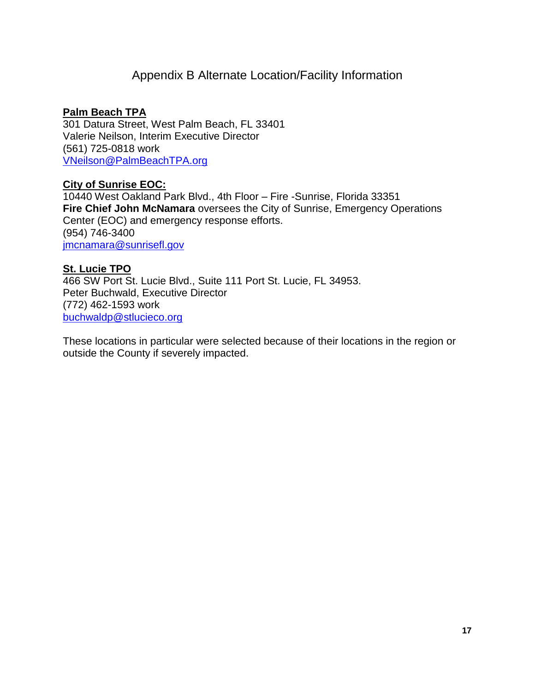## Appendix B Alternate Location/Facility Information

#### <span id="page-16-0"></span>**Palm Beach TPA**

301 Datura Street, West Palm Beach, FL 33401 Valerie Neilson, Interim Executive Director (561) 725-0818 work [VNeilson@PalmBeachTPA.org](mailto:VNeilson@PalmBeachTPA.org)

#### **City of Sunrise EOC:**

10440 West Oakland Park Blvd., 4th Floor – Fire -Sunrise, Florida 33351 **Fire Chief John McNamara** oversees the City of Sunrise, Emergency Operations Center (EOC) and emergency response efforts. (954) 746-3400 [jmcnamara@sunrisefl.gov](mailto:jmcnamara@sunrisefl.gov)

#### **St. Lucie TPO**

466 SW Port St. Lucie Blvd., Suite 111 Port St. Lucie, FL 34953. Peter Buchwald, Executive Director (772) 462-1593 work [buchwaldp@stlucieco.org](mailto:buchwaldp@stlucieco.org)

These locations in particular were selected because of their locations in the region or outside the County if severely impacted.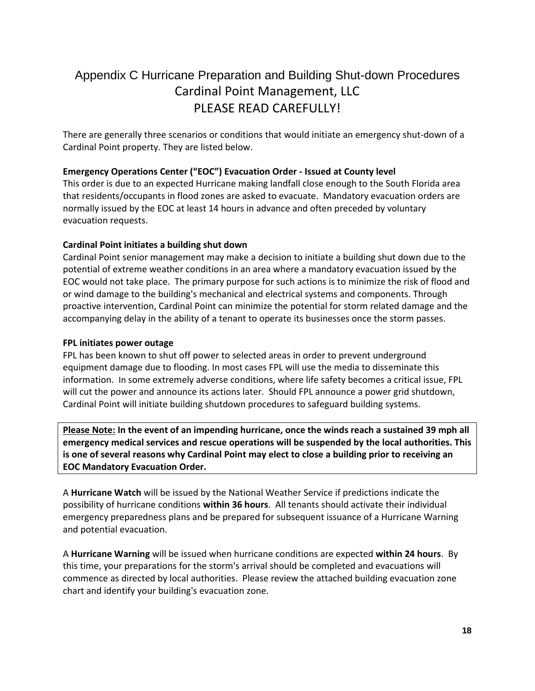## <span id="page-17-0"></span>Appendix C Hurricane Preparation and Building Shut-down Procedures Cardinal Point Management, LLC PLEASE READ CAREFULLY!

There are generally three scenarios or conditions that would initiate an emergency shut-down of a Cardinal Point property. They are listed below.

#### **Emergency Operations Center ("EOC") Evacuation Order - Issued at County level**

This order is due to an expected Hurricane making landfall close enough to the South Florida area that residents/occupants in flood zones are asked to evacuate. Mandatory evacuation orders are normally issued by the EOC at least 14 hours in advance and often preceded by voluntary evacuation requests.

#### **Cardinal Point initiates a building shut down**

Cardinal Point senior management may make a decision to initiate a building shut down due to the potential of extreme weather conditions in an area where a mandatory evacuation issued by the EOC would not take place. The primary purpose for such actions is to minimize the risk of flood and or wind damage to the building's mechanical and electrical systems and components. Through proactive intervention, Cardinal Point can minimize the potential for storm related damage and the accompanying delay in the ability of a tenant to operate its businesses once the storm passes.

#### **FPL initiates power outage**

FPL has been known to shut off power to selected areas in order to prevent underground equipment damage due to flooding. In most cases FPL will use the media to disseminate this information. In some extremely adverse conditions, where life safety becomes a critical issue, FPL will cut the power and announce its actions later. Should FPL announce a power grid shutdown, Cardinal Point will initiate building shutdown procedures to safeguard building systems.

**Please Note: In the event of an impending hurricane, once the winds reach a sustained 39 mph all emergency medical services and rescue operations will be suspended by the local authorities. This is one of several reasons why Cardinal Point may elect to close a building prior to receiving an EOC Mandatory Evacuation Order.**

A **Hurricane Watch** will be issued by the National Weather Service if predictions indicate the possibility of hurricane conditions **within 36 hours**. All tenants should activate their individual emergency preparedness plans and be prepared for subsequent issuance of a Hurricane Warning and potential evacuation.

A **Hurricane Warning** will be issued when hurricane conditions are expected **within 24 hours**. By this time, your preparations for the storm's arrival should be completed and evacuations will commence as directed by local authorities. Please review the attached building evacuation zone chart and identify your building's evacuation zone.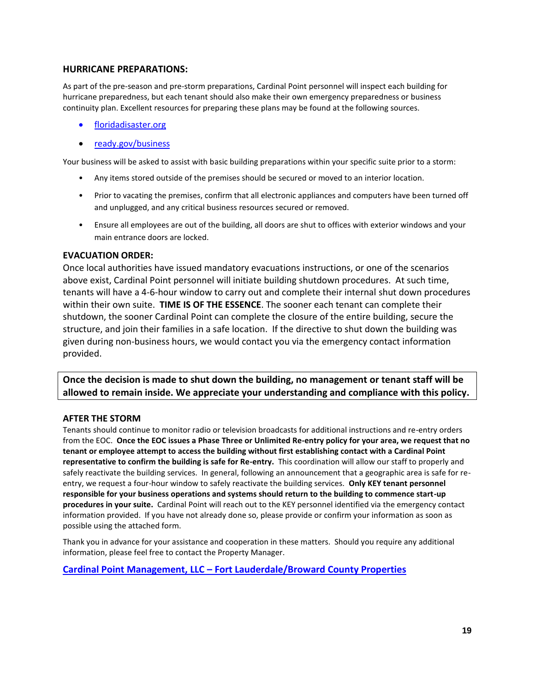#### **HURRICANE PREPARATIONS:**

As part of the pre-season and pre-storm preparations, Cardinal Point personnel will inspect each building for hurricane preparedness, but each tenant should also make their own emergency preparedness or business continuity plan. Excellent resources for preparing these plans may be found at the following sources.

- [floridadisaster.org](https://www.floridadisaster.org/)
- [ready.gov/business](https://www.ready.gov/business)

Your business will be asked to assist with basic building preparations within your specific suite prior to a storm:

- Any items stored outside of the premises should be secured or moved to an interior location.
- Prior to vacating the premises, confirm that all electronic appliances and computers have been turned off and unplugged, and any critical business resources secured or removed.
- Ensure all employees are out of the building, all doors are shut to offices with exterior windows and your main entrance doors are locked.

#### **EVACUATION ORDER:**

Once local authorities have issued mandatory evacuations instructions, or one of the scenarios above exist, Cardinal Point personnel will initiate building shutdown procedures. At such time, tenants will have a 4-6-hour window to carry out and complete their internal shut down procedures within their own suite. **TIME IS OF THE ESSENCE**. The sooner each tenant can complete their shutdown, the sooner Cardinal Point can complete the closure of the entire building, secure the structure, and join their families in a safe location. If the directive to shut down the building was given during non-business hours, we would contact you via the emergency contact information provided.

**Once the decision is made to shut down the building, no management or tenant staff will be allowed to remain inside. We appreciate your understanding and compliance with this policy.**

#### **AFTER THE STORM**

Tenants should continue to monitor radio or television broadcasts for additional instructions and re-entry orders from the EOC. **Once the EOC issues a Phase Three or Unlimited Re-entry policy for your area, we request that no tenant or employee attempt to access the building without first establishing contact with a Cardinal Point representative to confirm the building is safe for Re-entry.** This coordination will allow our staff to properly and safely reactivate the building services. In general, following an announcement that a geographic area is safe for reentry, we request a four-hour window to safely reactivate the building services. **Only KEY tenant personnel responsible for your business operations and systems should return to the building to commence start-up procedures in your suite.** Cardinal Point will reach out to the KEY personnel identified via the emergency contact information provided. If you have not already done so, please provide or confirm your information as soon as possible using the attached form.

Thank you in advance for your assistance and cooperation in these matters. Should you require any additional information, please feel free to contact the Property Manager.

**Cardinal Point Management, LLC – [Fort Lauderdale/Broward County Properties](http://www.cardinalpointmanagement.com/blog/location/ft-lauderdale/)**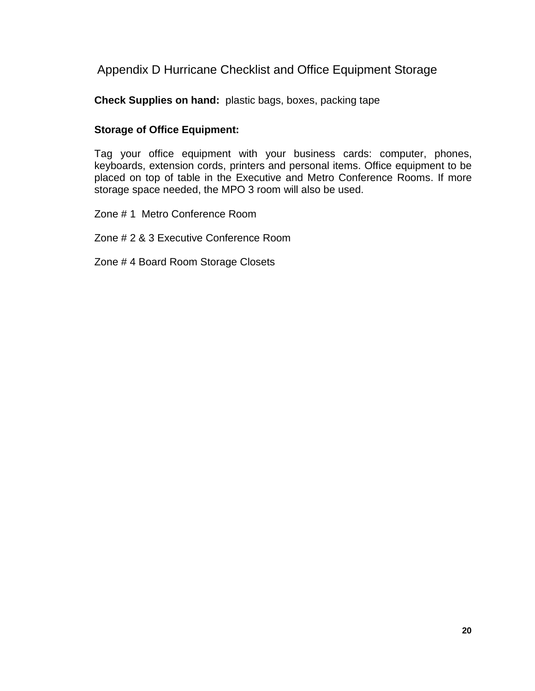<span id="page-19-0"></span>Appendix D Hurricane Checklist and Office Equipment Storage

**Check Supplies on hand:** plastic bags, boxes, packing tape

#### **Storage of Office Equipment:**

Tag your office equipment with your business cards: computer, phones, keyboards, extension cords, printers and personal items. Office equipment to be placed on top of table in the Executive and Metro Conference Rooms. If more storage space needed, the MPO 3 room will also be used.

Zone # 1 Metro Conference Room

Zone # 2 & 3 Executive Conference Room

Zone # 4 Board Room Storage Closets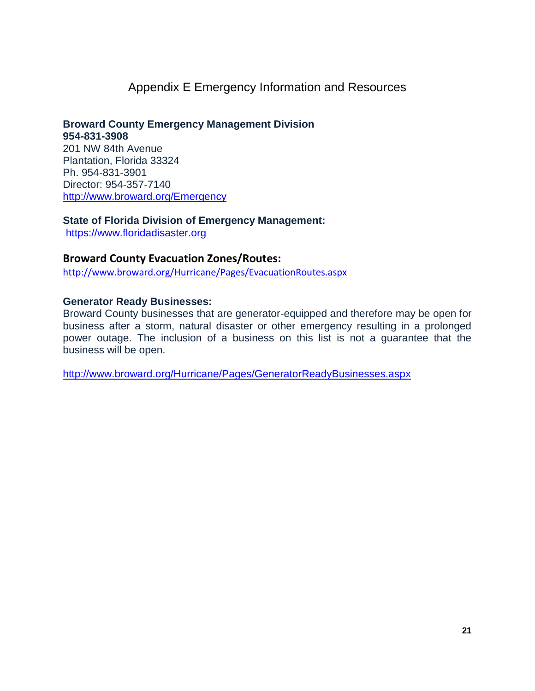## Appendix E Emergency Information and Resources

<span id="page-20-0"></span>**Broward County Emergency Management Division 954-831-3908**  201 NW 84th Avenue Plantation, Florida 33324 Ph. 954-831-3901 Director: 954-357-7140 <http://www.broward.org/Emergency>

**State of Florida Division of Emergency Management:** [https://www.floridadisaster.org](https://www.floridadisaster.org/)

**Broward County Evacuation Zones/Routes:** 

<http://www.broward.org/Hurricane/Pages/EvacuationRoutes.aspx>

#### **Generator Ready Businesses:**

Broward County businesses that are generator-equipped and therefore may be open for business after a storm, natural disaster or other emergency resulting in a prolonged power outage. The inclusion of a business on this list is not a guarantee that the business will be open.

<http://www.broward.org/Hurricane/Pages/GeneratorReadyBusinesses.aspx>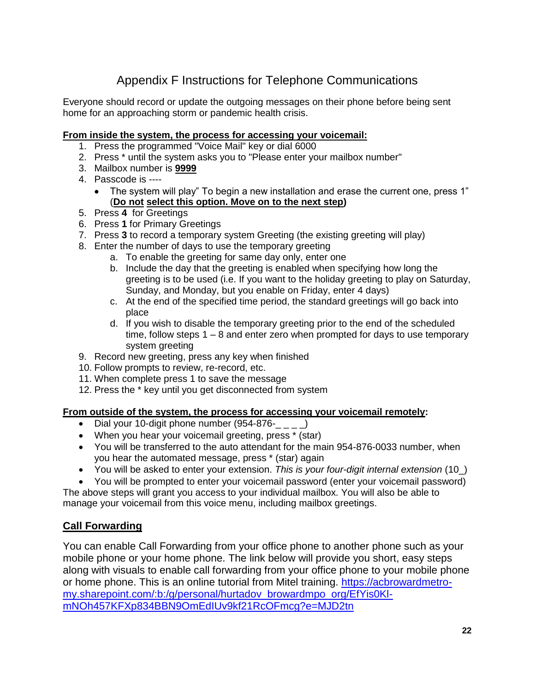## Appendix F Instructions for Telephone Communications

<span id="page-21-0"></span>Everyone should record or update the outgoing messages on their phone before being sent home for an approaching storm or pandemic health crisis.

#### **From inside the system, the process for accessing your voicemail:**

- 1. Press the programmed "Voice Mail" key or dial 6000
- 2. Press \* until the system asks you to "Please enter your mailbox number"
- 3. Mailbox number is **9999**
- 4. Passcode is ----
	- The system will play" To begin a new installation and erase the current one, press 1" (**Do not select this option. Move on to the next step)**
- 5. Press **4** for Greetings
- 6. Press **1** for Primary Greetings
- 7. Press **3** to record a temporary system Greeting (the existing greeting will play)
- 8. Enter the number of days to use the temporary greeting
	- a. To enable the greeting for same day only, enter one
	- b. Include the day that the greeting is enabled when specifying how long the greeting is to be used (i.e. If you want to the holiday greeting to play on Saturday, Sunday, and Monday, but you enable on Friday, enter 4 days)
	- c. At the end of the specified time period, the standard greetings will go back into place
	- d. If you wish to disable the temporary greeting prior to the end of the scheduled time, follow steps 1 – 8 and enter zero when prompted for days to use temporary system greeting
- 9. Record new greeting, press any key when finished
- 10. Follow prompts to review, re-record, etc.
- 11. When complete press 1 to save the message
- 12. Press the \* key until you get disconnected from system

#### **From outside of the system, the process for accessing your voicemail remotely:**

- Dial your 10-digit phone number (954-876-
- When you hear your voicemail greeting, press \* (star)
- You will be transferred to the auto attendant for the main 954-876-0033 number, when you hear the automated message, press \* (star) again
- You will be asked to enter your extension. *This is your four-digit internal extension* (10\_)
- You will be prompted to enter your voicemail password (enter your voicemail password)

The above steps will grant you access to your individual mailbox. You will also be able to manage your voicemail from this voice menu, including mailbox greetings.

#### **Call Forwarding**

You can enable Call Forwarding from your office phone to another phone such as your mobile phone or your home phone. The link below will provide you short, easy steps along with visuals to enable call forwarding from your office phone to your mobile phone or home phone. This is an online tutorial from Mitel training. [https://acbrowardmetro](https://acbrowardmetro-my.sharepoint.com/:b:/g/personal/hurtadov_browardmpo_org/EfYis0Kl-mNOh457KFXp834BBN9OmEdIUv9kf21RcOFmcg?e=MJD2tn)[my.sharepoint.com/:b:/g/personal/hurtadov\\_browardmpo\\_org/EfYis0Kl](https://acbrowardmetro-my.sharepoint.com/:b:/g/personal/hurtadov_browardmpo_org/EfYis0Kl-mNOh457KFXp834BBN9OmEdIUv9kf21RcOFmcg?e=MJD2tn)[mNOh457KFXp834BBN9OmEdIUv9kf21RcOFmcg?e=MJD2tn](https://acbrowardmetro-my.sharepoint.com/:b:/g/personal/hurtadov_browardmpo_org/EfYis0Kl-mNOh457KFXp834BBN9OmEdIUv9kf21RcOFmcg?e=MJD2tn)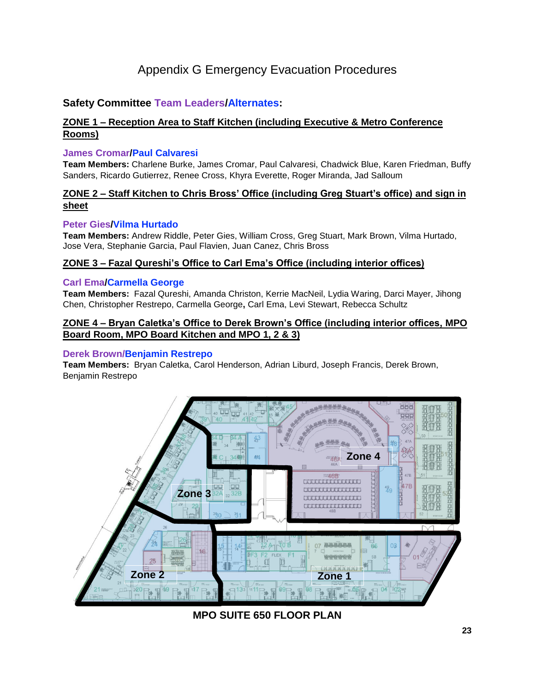## Appendix G Emergency Evacuation Procedures

#### <span id="page-22-0"></span>**Safety Committee Team Leaders/Alternates:**

#### **ZONE 1 – Reception Area to Staff Kitchen (including Executive & Metro Conference Rooms)**

#### **James Cromar/Paul Calvaresi**

**Team Members:** Charlene Burke, James Cromar, Paul Calvaresi, Chadwick Blue, Karen Friedman, Buffy Sanders, Ricardo Gutierrez, Renee Cross, Khyra Everette, Roger Miranda, Jad Salloum

#### **ZONE 2 – Staff Kitchen to Chris Bross' Office (including Greg Stuart's office) and sign in sheet**

#### **Peter Gies/Vilma Hurtado**

**Team Members:** Andrew Riddle, Peter Gies, William Cross, Greg Stuart, Mark Brown, Vilma Hurtado, Jose Vera, Stephanie Garcia, Paul Flavien, Juan Canez, Chris Bross

#### **ZONE 3 – Fazal Qureshi's Office to Carl Ema's Office (including interior offices)**

#### **Carl Ema/Carmella George**

**Team Members:** Fazal Qureshi, Amanda Christon, Kerrie MacNeil, Lydia Waring, Darci Mayer, Jihong Chen, Christopher Restrepo, Carmella George**,** Carl Ema, Levi Stewart, Rebecca Schultz

#### **ZONE 4 – Bryan Caletka's Office to Derek Brown's Office (including interior offices, MPO Board Room, MPO Board Kitchen and MPO 1, 2 & 3)**

#### **Derek Brown/Benjamin Restrepo**

**Team Members:** Bryan Caletka, Carol Henderson, Adrian Liburd, Joseph Francis, Derek Brown, Benjamin Restrepo



**MPO SUITE 650 FLOOR PLAN**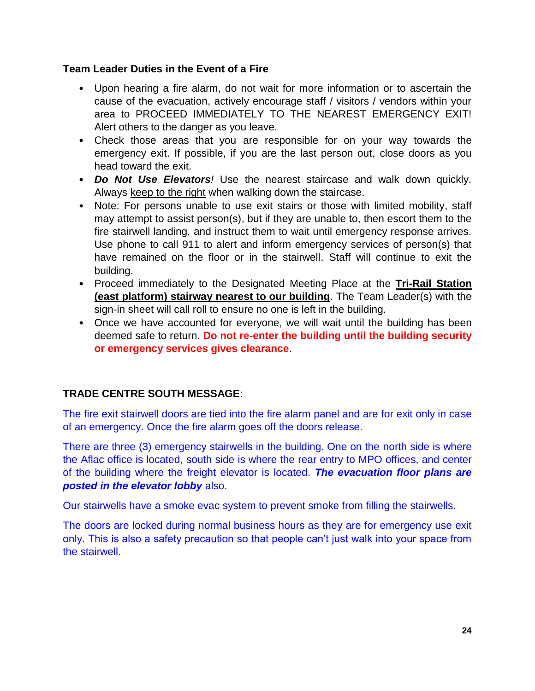#### **Team Leader Duties in the Event of a Fire**

- Upon hearing a fire alarm, do not wait for more information or to ascertain the cause of the evacuation, actively encourage staff / visitors / vendors within your area to PROCEED IMMEDIATELY TO THE NEAREST EMERGENCY EXIT! Alert others to the danger as you leave.
- Check those areas that you are responsible for on your way towards the emergency exit. If possible, if you are the last person out, close doors as you head toward the exit.
- *Do Not Use Elevators!* Use the nearest staircase and walk down quickly. Always keep to the right when walking down the staircase.
- Note: For persons unable to use exit stairs or those with limited mobility, staff may attempt to assist person(s), but if they are unable to, then escort them to the fire stairwell landing, and instruct them to wait until emergency response arrives. Use phone to call 911 to alert and inform emergency services of person(s) that have remained on the floor or in the stairwell. Staff will continue to exit the building.
- Proceed immediately to the Designated Meeting Place at the **Tri-Rail Station (east platform) stairway nearest to our building**. The Team Leader(s) with the sign-in sheet will call roll to ensure no one is left in the building.
- Once we have accounted for everyone, we will wait until the building has been deemed safe to return. **Do not re-enter the building until the building security or emergency services gives clearance**.

### **TRADE CENTRE SOUTH MESSAGE**:

The fire exit stairwell doors are tied into the fire alarm panel and are for exit only in case of an emergency. Once the fire alarm goes off the doors release.

There are three (3) emergency stairwells in the building. One on the north side is where the Aflac office is located, south side is where the rear entry to MPO offices, and center of the building where the freight elevator is located. *The evacuation floor plans are posted in the elevator lobby* also.

Our stairwells have a smoke evac system to prevent smoke from filling the stairwells.

The doors are locked during normal business hours as they are for emergency use exit only. This is also a safety precaution so that people can't just walk into your space from the stairwell.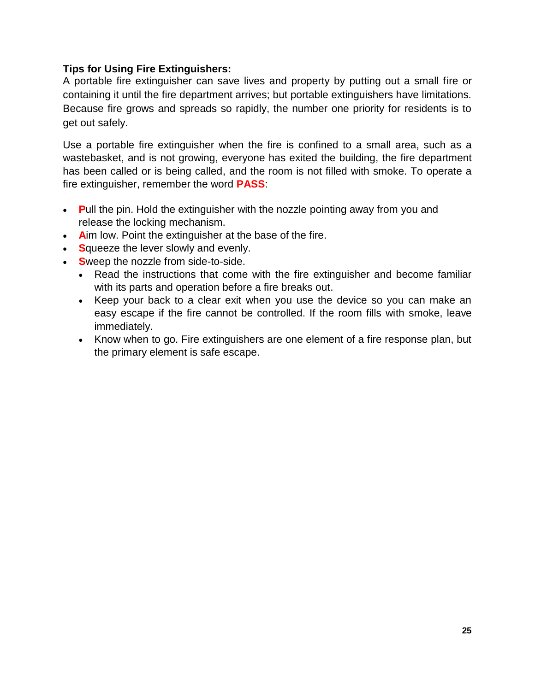#### **Tips for Using Fire Extinguishers:**

A portable fire extinguisher can save lives and property by putting out a small fire or containing it until the fire department arrives; but portable extinguishers have limitations. Because fire grows and spreads so rapidly, the number one priority for residents is to get out safely.

Use a portable fire extinguisher when the fire is confined to a small area, such as a wastebasket, and is not growing, everyone has exited the building, the fire department has been called or is being called, and the room is not filled with smoke. To operate a fire extinguisher, remember the word **PASS**:

- **P**ull the pin. Hold the extinguisher with the nozzle pointing away from you and release the locking mechanism.
- **A**im low. Point the extinguisher at the base of the fire.
- **S**queeze the lever slowly and evenly.
- **S**weep the nozzle from side-to-side.
	- Read the instructions that come with the fire extinguisher and become familiar with its parts and operation before a fire breaks out.
	- Keep your back to a clear exit when you use the device so you can make an easy escape if the fire cannot be controlled. If the room fills with smoke, leave immediately.
	- Know when to go. Fire extinguishers are one element of a fire response plan, but the primary element is safe escape.